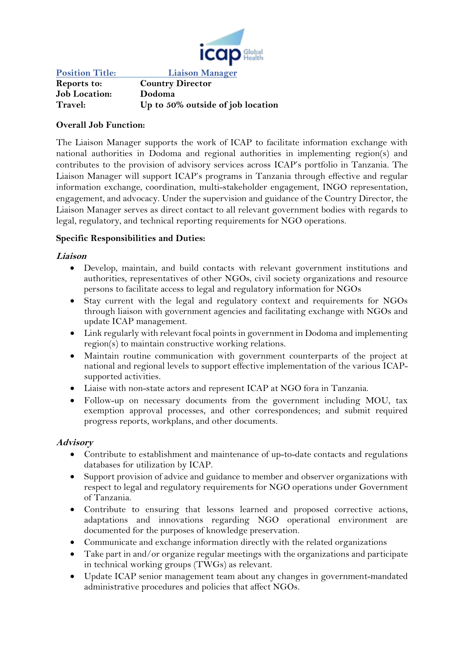

**Position Title: Liaison Manager Reports to: Country Director Job Location: Dodoma Travel: Up to 50% outside of job location**

### **Overall Job Function:**

The Liaison Manager supports the work of ICAP to facilitate information exchange with national authorities in Dodoma and regional authorities in implementing region(s) and contributes to the provision of advisory services across ICAP's portfolio in Tanzania. The Liaison Manager will support ICAP's programs in Tanzania through effective and regular information exchange, coordination, multi-stakeholder engagement, INGO representation, engagement, and advocacy. Under the supervision and guidance of the Country Director, the Liaison Manager serves as direct contact to all relevant government bodies with regards to legal, regulatory, and technical reporting requirements for NGO operations.

### **Specific Responsibilities and Duties:**

#### **Liaison**

- Develop, maintain, and build contacts with relevant government institutions and authorities, representatives of other NGOs, civil society organizations and resource persons to facilitate access to legal and regulatory information for NGOs
- Stay current with the legal and regulatory context and requirements for NGOs through liaison with government agencies and facilitating exchange with NGOs and update ICAP management.
- Link regularly with relevant focal points in government in Dodoma and implementing region(s) to maintain constructive working relations.
- Maintain routine communication with government counterparts of the project at national and regional levels to support effective implementation of the various ICAPsupported activities.
- Liaise with non-state actors and represent ICAP at NGO fora in Tanzania.
- Follow-up on necessary documents from the government including MOU, tax exemption approval processes, and other correspondences; and submit required progress reports, workplans, and other documents.

#### **Advisory**

- Contribute to establishment and maintenance of up-to-date contacts and regulations databases for utilization by ICAP.
- Support provision of advice and guidance to member and observer organizations with respect to legal and regulatory requirements for NGO operations under Government of Tanzania.
- Contribute to ensuring that lessons learned and proposed corrective actions, adaptations and innovations regarding NGO operational environment are documented for the purposes of knowledge preservation.
- Communicate and exchange information directly with the related organizations
- Take part in and/or organize regular meetings with the organizations and participate in technical working groups (TWGs) as relevant.
- Update ICAP senior management team about any changes in government-mandated administrative procedures and policies that affect NGOs.